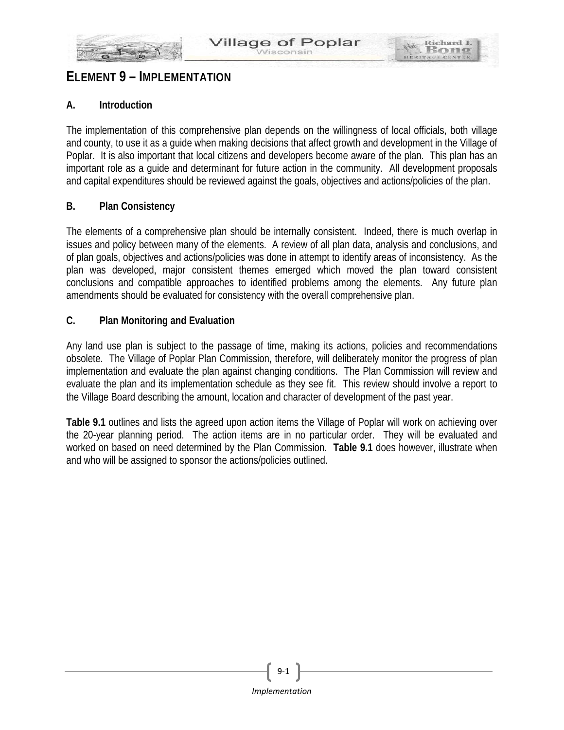

# **ELEMENT 9 – IMPLEMENTATION**

## **A. Introduction**

The implementation of this comprehensive plan depends on the willingness of local officials, both village and county, to use it as a guide when making decisions that affect growth and development in the Village of Poplar. It is also important that local citizens and developers become aware of the plan. This plan has an important role as a guide and determinant for future action in the community. All development proposals and capital expenditures should be reviewed against the goals, objectives and actions/policies of the plan.

#### **B. Plan Consistency**

The elements of a comprehensive plan should be internally consistent. Indeed, there is much overlap in issues and policy between many of the elements. A review of all plan data, analysis and conclusions, and of plan goals, objectives and actions/policies was done in attempt to identify areas of inconsistency. As the plan was developed, major consistent themes emerged which moved the plan toward consistent conclusions and compatible approaches to identified problems among the elements. Any future plan amendments should be evaluated for consistency with the overall comprehensive plan.

### **C. Plan Monitoring and Evaluation**

Any land use plan is subject to the passage of time, making its actions, policies and recommendations obsolete. The Village of Poplar Plan Commission, therefore, will deliberately monitor the progress of plan implementation and evaluate the plan against changing conditions. The Plan Commission will review and evaluate the plan and its implementation schedule as they see fit. This review should involve a report to the Village Board describing the amount, location and character of development of the past year.

**Table 9.1** outlines and lists the agreed upon action items the Village of Poplar will work on achieving over the 20-year planning period. The action items are in no particular order. They will be evaluated and worked on based on need determined by the Plan Commission. **Table 9.1** does however, illustrate when and who will be assigned to sponsor the actions/policies outlined.



9-1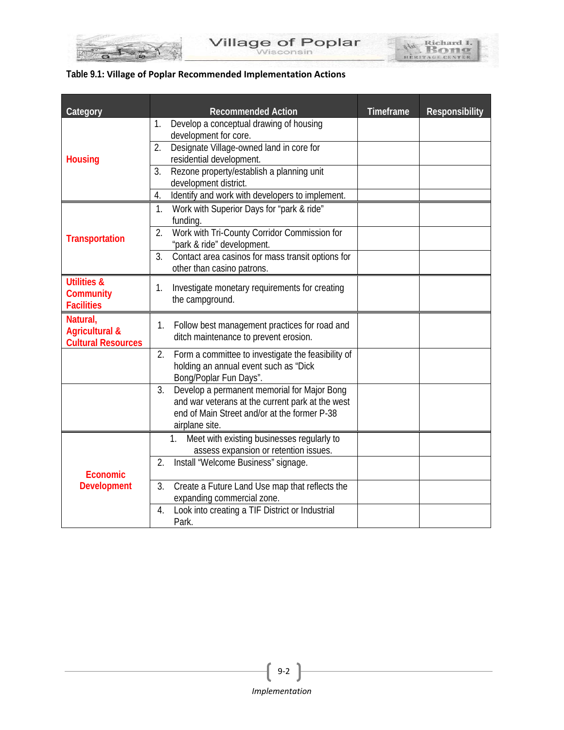| Table 9.1: Village of Poplar Recommended Implementation Actions |  |
|-----------------------------------------------------------------|--|
|-----------------------------------------------------------------|--|

BUT OF THE Y

| Category                  | <b>Recommended Action</b>                                                                         | Timeframe | <b>Responsibility</b> |
|---------------------------|---------------------------------------------------------------------------------------------------|-----------|-----------------------|
|                           | Develop a conceptual drawing of housing<br>1.                                                     |           |                       |
|                           | development for core.                                                                             |           |                       |
|                           | Designate Village-owned land in core for<br>2.                                                    |           |                       |
| <b>Housing</b>            | residential development.                                                                          |           |                       |
|                           | Rezone property/establish a planning unit<br>3.                                                   |           |                       |
|                           | development district.                                                                             |           |                       |
|                           | Identify and work with developers to implement.<br>4.                                             |           |                       |
|                           | Work with Superior Days for "park & ride"<br>1.                                                   |           |                       |
|                           | funding.<br>2.                                                                                    |           |                       |
| <b>Transportation</b>     | Work with Tri-County Corridor Commission for<br>"park & ride" development.                        |           |                       |
|                           | Contact area casinos for mass transit options for<br>3.                                           |           |                       |
|                           | other than casino patrons.                                                                        |           |                       |
| <b>Utilities &amp;</b>    |                                                                                                   |           |                       |
| <b>Community</b>          | Investigate monetary requirements for creating<br>1.<br>the campground.                           |           |                       |
| <b>Facilities</b>         |                                                                                                   |           |                       |
| Natural,                  | Follow best management practices for road and<br>1.                                               |           |                       |
| <b>Agricultural &amp;</b> | ditch maintenance to prevent erosion.                                                             |           |                       |
| <b>Cultural Resources</b> |                                                                                                   |           |                       |
|                           | 2.<br>Form a committee to investigate the feasibility of<br>holding an annual event such as "Dick |           |                       |
|                           | Bong/Poplar Fun Days".                                                                            |           |                       |
|                           | 3.<br>Develop a permanent memorial for Major Bong                                                 |           |                       |
|                           | and war veterans at the current park at the west                                                  |           |                       |
|                           | end of Main Street and/or at the former P-38                                                      |           |                       |
|                           | airplane site.                                                                                    |           |                       |
|                           | 1. Meet with existing businesses regularly to                                                     |           |                       |
|                           | assess expansion or retention issues.                                                             |           |                       |
|                           | 2.<br>Install "Welcome Business" signage.                                                         |           |                       |
| <b>Economic</b>           |                                                                                                   |           |                       |
| <b>Development</b>        | 3.<br>Create a Future Land Use map that reflects the<br>expanding commercial zone.                |           |                       |
|                           | Look into creating a TIF District or Industrial<br>4.                                             |           |                       |
|                           | Park.                                                                                             |           |                       |